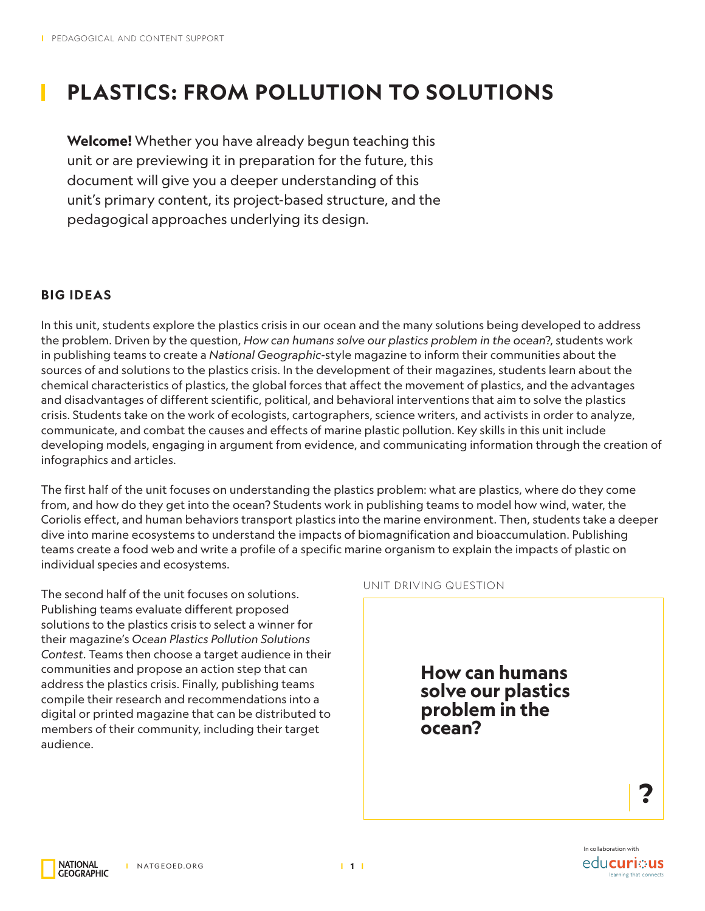# **PLASTICS: FROM POLLUTION TO SOLUTIONS**

**Welcome!** Whether you have already begun teaching this unit or are previewing it in preparation for the future, this document will give you a deeper understanding of this unit's primary content, its project-based structure, and the pedagogical approaches underlying its design.

## **BIG IDEAS**

In this unit, students explore the plastics crisis in our ocean and the many solutions being developed to address the problem. Driven by the question, *How can humans solve our plastics problem in the ocean*?, students work in publishing teams to create a *National Geographic*-style magazine to inform their communities about the sources of and solutions to the plastics crisis. In the development of their magazines, students learn about the chemical characteristics of plastics, the global forces that affect the movement of plastics, and the advantages and disadvantages of different scientific, political, and behavioral interventions that aim to solve the plastics crisis. Students take on the work of ecologists, cartographers, science writers, and activists in order to analyze, communicate, and combat the causes and effects of marine plastic pollution. Key skills in this unit include developing models, engaging in argument from evidence, and communicating information through the creation of infographics and articles.

The first half of the unit focuses on understanding the plastics problem: what are plastics, where do they come from, and how do they get into the ocean? Students work in publishing teams to model how wind, water, the Coriolis effect, and human behaviors transport plastics into the marine environment. Then, students take a deeper dive into marine ecosystems to understand the impacts of biomagnification and bioaccumulation. Publishing teams create a food web and write a profile of a specific marine organism to explain the impacts of plastic on individual species and ecosystems.

The second half of the unit focuses on solutions. Publishing teams evaluate different proposed solutions to the plastics crisis to select a winner for their magazine's *Ocean Plastics Pollution Solutions Contest*. Teams then choose a target audience in their communities and propose an action step that can address the plastics crisis. Finally, publishing teams compile their research and recommendations into a digital or printed magazine that can be distributed to members of their community, including their target audience.



**NATIONAL GEOGRAPHIC**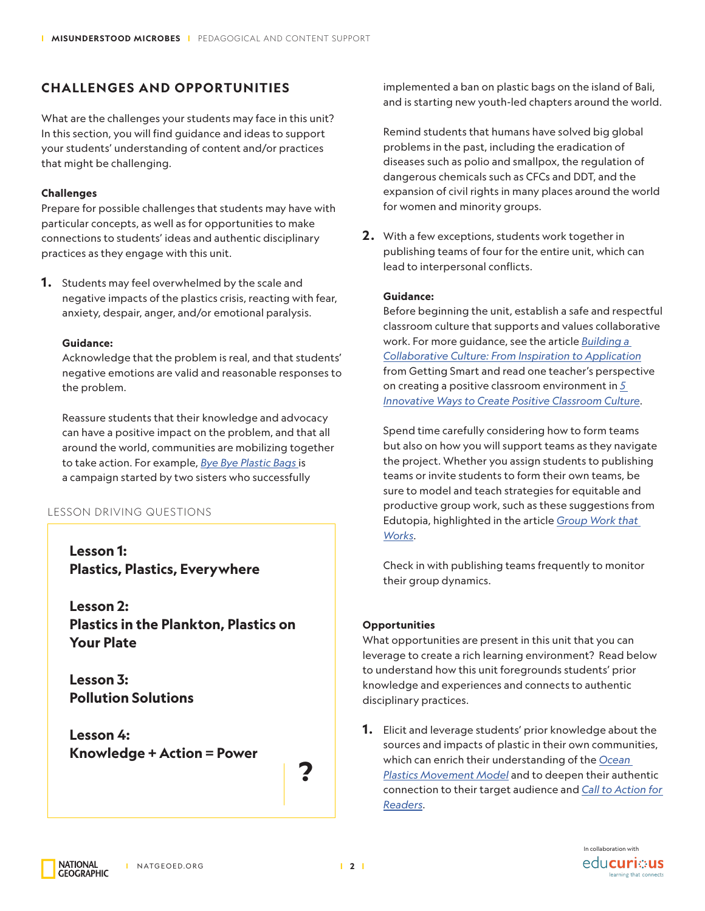# **CHALLENGES AND OPPORTUNITIES**

What are the challenges your students may face in this unit? In this section, you will find guidance and ideas to support your students' understanding of content and/or practices that might be challenging.

### **Challenges**

Prepare for possible challenges that students may have with particular concepts, as well as for opportunities to make connections to students' ideas and authentic disciplinary practices as they engage with this unit.

**1.** Students may feel overwhelmed by the scale and negative impacts of the plastics crisis, reacting with fear, anxiety, despair, anger, and/or emotional paralysis.

### **Guidance:**

Acknowledge that the problem is real, and that students' negative emotions are valid and reasonable responses to the problem.

Reassure students that their knowledge and advocacy can have a positive impact on the problem, and that all around the world, communities are mobilizing together to take action. For example, *[Bye Bye Plastic Bags](http://www.byebyeplasticbags.org)* is a campaign started by two sisters who successfully

### LESSON DRIVING QUESTIONS

**Lesson 1: Plastics, Plastics, Everywhere**

**Lesson 2: Plastics in the Plankton, Plastics on Your Plate**

**Lesson 3: Pollution Solutions**

**Lesson 4: Knowledge + Action = Power**

**?**

implemented a ban on plastic bags on the island of Bali, and is starting new youth-led chapters around the world.

Remind students that humans have solved big global problems in the past, including the eradication of diseases such as polio and smallpox, the regulation of dangerous chemicals such as CFCs and DDT, and the expansion of civil rights in many places around the world for women and minority groups.

**2 .** With a few exceptions, students work together in publishing teams of four for the entire unit, which can lead to interpersonal conflicts.

### **Guidance:**

Before beginning the unit, establish a safe and respectful classroom culture that supports and values collaborative work. For more guidance, see the article *[Building a](https://www.gettingsmart.com/2018/12/building-a-collaborative-culture-from-inspiration-to-application/)  [Collaborative Culture: From Inspiration to Application](https://www.gettingsmart.com/2018/12/building-a-collaborative-culture-from-inspiration-to-application/)* from Getting Smart and read one teacher's perspective on creating a positive classroom environment in *[5](https://www.edutopia.org/discussion/5-innovative-ways-create-positive-classroom-culture)  [Innovative Ways to Create Positive Classroom Culture](https://www.edutopia.org/discussion/5-innovative-ways-create-positive-classroom-culture)*.

Spend time carefully considering how to form teams but also on how you will support teams as they navigate the project. Whether you assign students to publishing teams or invite students to form their own teams, be sure to model and teach strategies for equitable and productive group work, such as these suggestions from Edutopia, highlighted in the article *[Group Work that](https://www.edutopia.org/article/group-work-works)  [Works](https://www.edutopia.org/article/group-work-works)*.

Check in with publishing teams frequently to monitor their group dynamics.

### **Opportunities**

What opportunities are present in this unit that you can leverage to create a rich learning environment? Read below to understand how this unit foregrounds students' prior knowledge and experiences and connects to authentic disciplinary practices.

**1.** Elicit and leverage students' prior knowledge about the sources and impacts of plastic in their own communities, which can enrich their understanding of the *[Ocean](https://media.nationalgeographic.org/assets/file/OceanPlasticsMovementModel.pdf)  [Plastics Movement Model](https://media.nationalgeographic.org/assets/file/OceanPlasticsMovementModel.pdf)* and to deepen their authentic connection to their target audience and *[Call to Action for](https://media.nationalgeographic.org/assets/file/CallToActionForReaders.pdf)  [Readers](https://media.nationalgeographic.org/assets/file/CallToActionForReaders.pdf)*.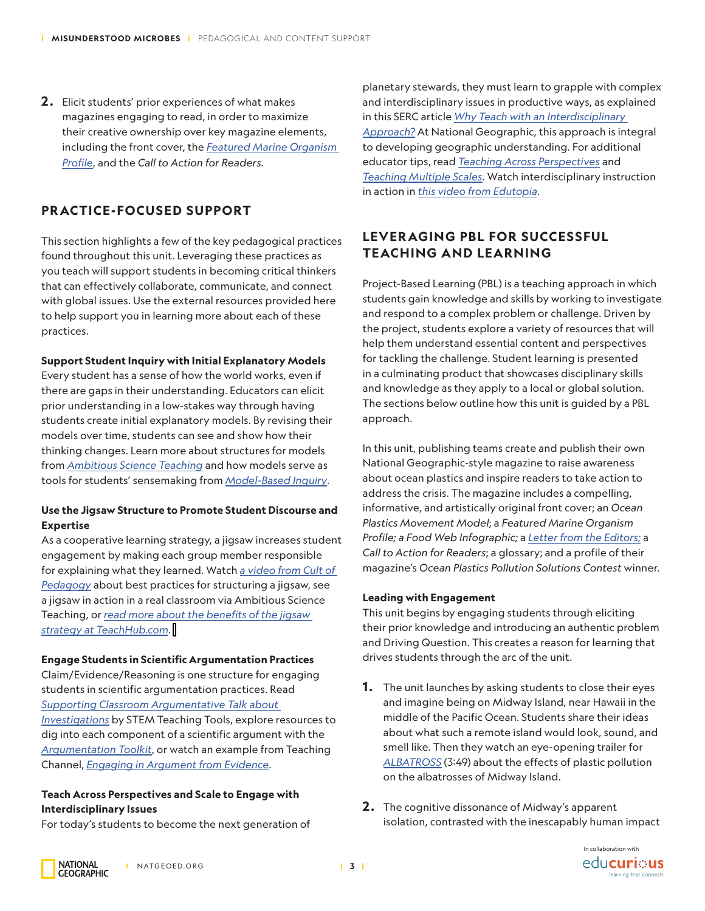**2 .** Elicit students' prior experiences of what makes magazines engaging to read, in order to maximize their creative ownership over key magazine elements, including the front cover, the *[Featured Marine Organism](https://media.nationalgeographic.org/assets/file/FeatureMarineOrganismProfile.pdf)  [Profile](https://media.nationalgeographic.org/assets/file/FeatureMarineOrganismProfile.pdf)*, and the *Call to Action for Readers.*

# **PRACTICE-FOCUSED SUPPORT**

This section highlights a few of the key pedagogical practices found throughout this unit. Leveraging these practices as you teach will support students in becoming critical thinkers that can effectively collaborate, communicate, and connect with global issues. Use the external resources provided here to help support you in learning more about each of these practices.

### **Support Student Inquiry with Initial Explanatory Models**

Every student has a sense of how the world works, even if there are gaps in their understanding. Educators can elicit prior understanding in a low-stakes way through having students create initial explanatory models. By revising their models over time, students can see and show how their thinking changes. Learn more about structures for models from *[Ambitious Science Teaching](https://ambitiousscienceteaching.org/tools-face-to-face/#Smallgroup)* and how models serve as tools for students' sensemaking from *[Model-Based Inquiry](https://sites.google.com/view/modelbasedinquiry/support/modeling?authuser=0)*.

### **Use the Jigsaw Structure to Promote Student Discourse and Expertise**

As a cooperative learning strategy, a jigsaw increases student engagement by making each group member responsible for explaining what they learned. Watch *[a video from Cult of](https://www.youtube.com/watch?v=euhtXUgBEts)  [Pedagogy](https://www.youtube.com/watch?v=euhtXUgBEts)* about best practices for structuring a jigsaw, see a jigsaw in action in a real classroom via Ambitious Science Teaching, or *[read more about the benefits of the jigsaw](https://www.teachhub.com/teaching-strategies/2016/10/the-jigsaw-method-teaching-strategy/)  [strategy at TeachHub.com](https://www.teachhub.com/teaching-strategies/2016/10/the-jigsaw-method-teaching-strategy/)*.

### **Engage Students in Scientific Argumentation Practices**

Claim/Evidence/Reasoning is one structure for engaging students in scientific argumentation practices. Read *[Supporting Classroom Argumentative Talk about](http://stemteachingtools.org/brief/17)  [Investigations](http://stemteachingtools.org/brief/17)* by STEM Teaching Tools, explore resources to

dig into each component of a scientific argument with the *[Argumentation Toolkit](http://www.argumentationtoolkit.org/)*, or watch an example from Teaching Channel, *[Engaging in Argument from Evidence](https://learn.teachingchannel.com/video/engaging-argument-evidence-ngss)*.

### **Teach Across Perspectives and Scale to Engage with Interdisciplinary Issues**

For today's students to become the next generation of

planetary stewards, they must learn to grapple with complex and interdisciplinary issues in productive ways, as explained in this SERC article *[Why Teach with an Interdisciplinary](http://Why Teach with an Interdisciplinary Approach?)  [Approach?](http://Why Teach with an Interdisciplinary Approach?)* At National Geographic, this approach is integral to developing geographic understanding. For additional educator tips, read *[Teaching Across Perspectives](https://media.nationalgeographic.org/assets/file/Educator_Tips_Teaching_Across_Perspectives.pdf)* and *[Teaching Multiple Scales](https://media.nationalgeographic.org/assets/file/Educator_Tips_Teaching_Multiple_Scales.pdf)*. Watch interdisciplinary instruction in action in *[this video from Edutopia](https://www.edutopia.org/video/introduction-integrated-studies)*.

### **LEVER AGING PBL FOR SUCCESSFUL TEACHING AND LEARNING**

Project-Based Learning (PBL) is a teaching approach in which students gain knowledge and skills by working to investigate and respond to a complex problem or challenge. Driven by the project, students explore a variety of resources that will help them understand essential content and perspectives for tackling the challenge. Student learning is presented in a culminating product that showcases disciplinary skills and knowledge as they apply to a local or global solution. The sections below outline how this unit is guided by a PBL approach.

In this unit, publishing teams create and publish their own National Geographic-style magazine to raise awareness about ocean plastics and inspire readers to take action to address the crisis. The magazine includes a compelling, informative, and artistically original front cover; an *Ocean Plastics Movement Model*; a *Featured Marine Organism Profile; a Food Web Infographic;* a *[Letter from the Editors;](https://media.nationalgeographic.org/assets/file/LetterFromTheEditors.pdf)* a *Call to Action for Readers*; a glossary; and a profile of their magazine's *Ocean Plastics Pollution Solutions Contest* winner.

### **Leading with Engagement**

This unit begins by engaging students through eliciting their prior knowledge and introducing an authentic problem and Driving Question. This creates a reason for learning that drives students through the arc of the unit.

- **1.** The unit launches by asking students to close their eyes and imagine being on Midway Island, near Hawaii in the middle of the Pacific Ocean. Students share their ideas about what such a remote island would look, sound, and smell like. Then they watch an eye-opening trailer for *[ALBATROSS](https://vimeo.com/218502282)* (3:49) about the effects of plastic pollution on the albatrosses of Midway Island.
- **2 .** The cognitive dissonance of Midway's apparent isolation, contrasted with the inescapably human impact



**NATIONAL GEOGRAPHIC**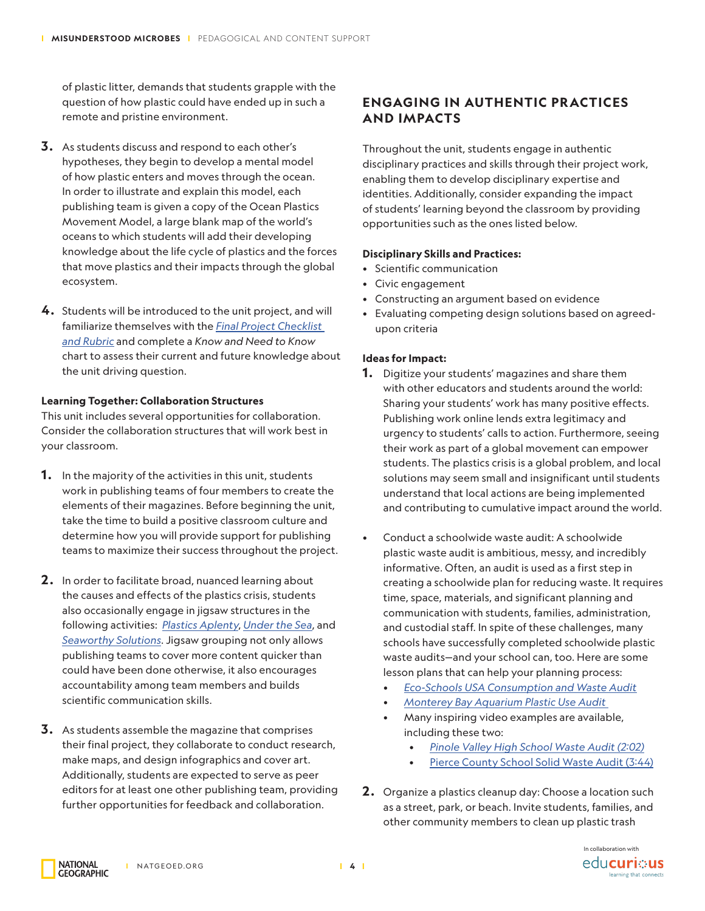of plastic litter, demands that students grapple with the question of how plastic could have ended up in such a remote and pristine environment.

- **3.** As students discuss and respond to each other's hypotheses, they begin to develop a mental model of how plastic enters and moves through the ocean. In order to illustrate and explain this model, each publishing team is given a copy of the Ocean Plastics Movement Model, a large blank map of the world's oceans to which students will add their developing knowledge about the life cycle of plastics and the forces that move plastics and their impacts through the global ecosystem.
- **4.** Students will be introduced to the unit project, and will familiarize themselves with the *[Final Project Checklist](https://media.nationalgeographic.org/assets/file/FinalProjectChecklistAndRubric_Final.pdf)  [and Rubric](https://media.nationalgeographic.org/assets/file/FinalProjectChecklistAndRubric_Final.pdf)* and complete a *Know and Need to Know* chart to assess their current and future knowledge about the unit driving question.

#### **Learning Together: Collaboration Structures**

This unit includes several opportunities for collaboration. Consider the collaboration structures that will work best in your classroom.

- **1.** In the majority of the activities in this unit, students work in publishing teams of four members to create the elements of their magazines. Before beginning the unit, take the time to build a positive classroom culture and determine how you will provide support for publishing teams to maximize their success throughout the project.
- **2 .** In order to facilitate broad, nuanced learning about the causes and effects of the plastics crisis, students also occasionally engage in jigsaw structures in the following activities: *[Plastics Aplenty](https://www.nationalgeographic.org/activity/plastics-aplenty/)*, *[Under the Sea](https://www.nationalgeographic.org/activity/under-sea/)*, and *[Seaworthy Solutions](https://www.nationalgeographic.org/activity/seaworthy-solutions/)*. Jigsaw grouping not only allows publishing teams to cover more content quicker than could have been done otherwise, it also encourages accountability among team members and builds scientific communication skills.
- **3.** As students assemble the magazine that comprises their final project, they collaborate to conduct research, make maps, and design infographics and cover art. Additionally, students are expected to serve as peer editors for at least one other publishing team, providing further opportunities for feedback and collaboration.

### **ENGAGING IN AUTHENTIC PRACTICES AND IMPACTS**

Throughout the unit, students engage in authentic disciplinary practices and skills through their project work, enabling them to develop disciplinary expertise and identities. Additionally, consider expanding the impact of students' learning beyond the classroom by providing opportunities such as the ones listed below.

#### **Disciplinary Skills and Practices:**

- Scientific communication
- Civic engagement
- Constructing an argument based on evidence
- Evaluating competing design solutions based on agreedupon criteria

#### **Ideas for Impact:**

- **1.** Digitize your students' magazines and share them with other educators and students around the world: Sharing your students' work has many positive effects. Publishing work online lends extra legitimacy and urgency to students' calls to action. Furthermore, seeing their work as part of a global movement can empower students. The plastics crisis is a global problem, and local solutions may seem small and insignificant until students understand that local actions are being implemented and contributing to cumulative impact around the world.
- Conduct a schoolwide waste audit: A schoolwide plastic waste audit is ambitious, messy, and incredibly informative. Often, an audit is used as a first step in creating a schoolwide plan for reducing waste. It requires time, space, materials, and significant planning and communication with students, families, administration, and custodial staff. In spite of these challenges, many schools have successfully completed schoolwide plastic waste audits—and your school can, too. Here are some lesson plans that can help your planning process:
	- *• [Eco-Schools USA Consumption and Waste Audit](https://www.nwf.org/-/media/PDFs/Eco-schools/Audits/Consumption--Waste-Audit2012.ashx?la=en&hash=F39A7166DDFB6201720F331B9087177D5E2A6F6E)*
	- *• [Monterey Bay Aquarium Plastic Use Audit](https://www.montereybayaquarium.org/for-educators/teacher-professional-development/curriculum/plastic-use-audit/)*
	- Many inspiring video examples are available, including these two:
		- *• [Pinole Valley High School Waste Audit \(2:02\)](https://www.youtube.com/watch?v=k-4RzD_94E0)*
		- [Pierce County School Solid Waste Audit \(3:44\)](https://www.youtube.com/watch?v=-eQHis2eCkg)
- **2 .** Organize a plastics cleanup day: Choose a location such as a street, park, or beach. Invite students, families, and other community members to clean up plastic trash

**NATIONAL** 

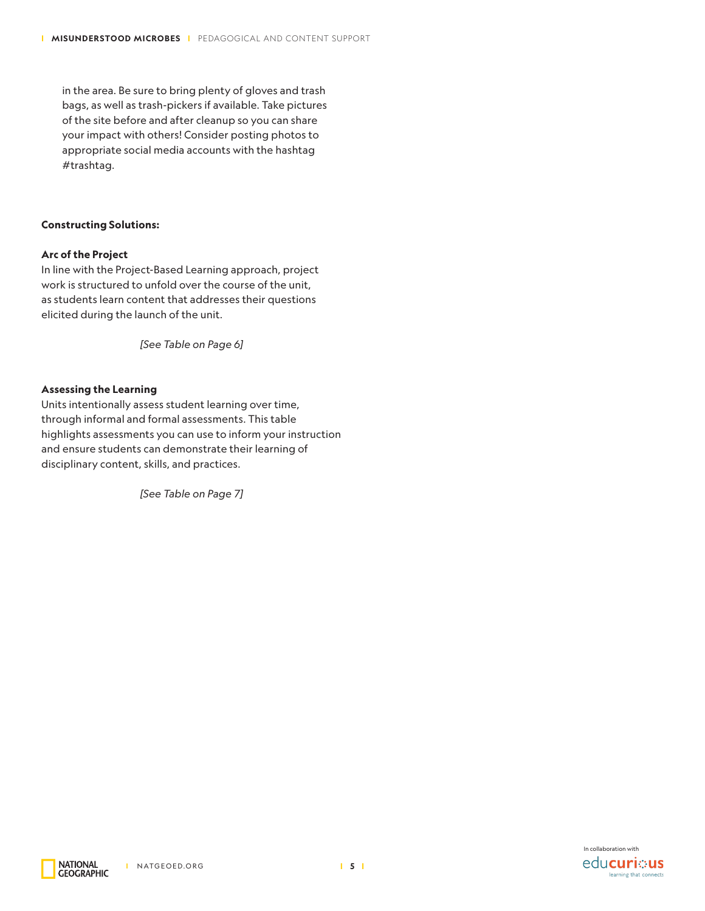in the area. Be sure to bring plenty of gloves and trash bags, as well as trash-pickers if available. Take pictures of the site before and after cleanup so you can share your impact with others! Consider posting photos to appropriate social media accounts with the hashtag #trashtag.

#### **Constructing Solutions:**

#### **Arc of the Project**

In line with the Project-Based Learning approach, project work is structured to unfold over the course of the unit, as students learn content that addresses their questions elicited during the launch of the unit.

*[See Table on Page 6]*

### **Assessing the Learning**

Units intentionally assess student learning over time, through informal and formal assessments. This table highlights assessments you can use to inform your instruction and ensure students can demonstrate their learning of disciplinary content, skills, and practices.

*[See Table on Page 7]*



**NATIONAL GEOGRAPHIC**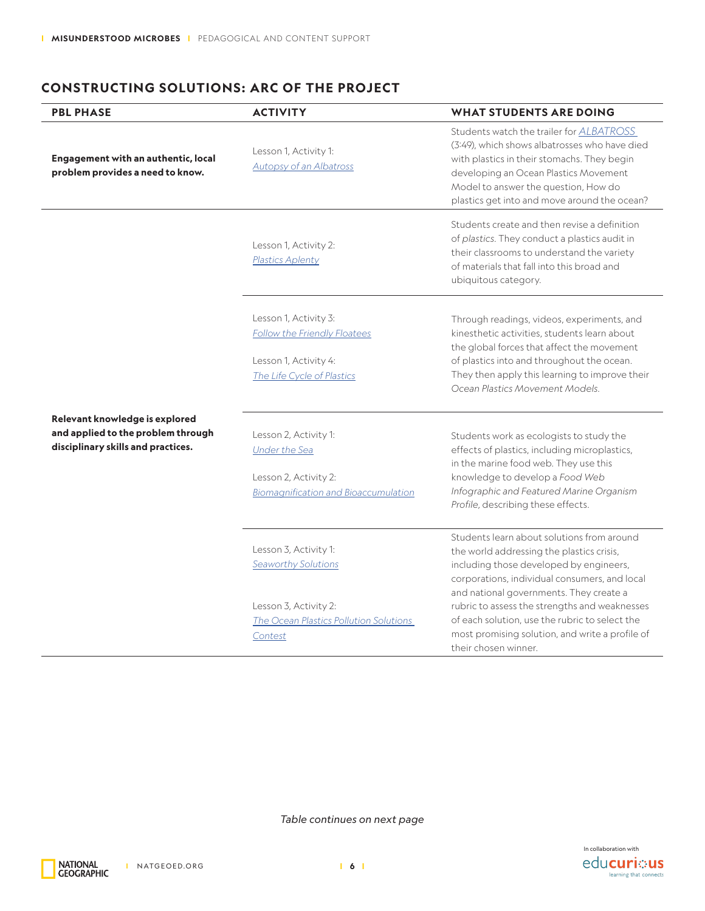### **CONSTRUCTING SOLUTIONS: ARC OF THE PROJECT**

| <b>PBL PHASE</b>                                                                                           | <b>ACTIVITY</b>                                                                                                            | <b>WHAT STUDENTS ARE DOING</b>                                                                                                                                                                                                                                                                                                                                                                               |
|------------------------------------------------------------------------------------------------------------|----------------------------------------------------------------------------------------------------------------------------|--------------------------------------------------------------------------------------------------------------------------------------------------------------------------------------------------------------------------------------------------------------------------------------------------------------------------------------------------------------------------------------------------------------|
| <b>Engagement with an authentic, local</b><br>problem provides a need to know.                             | Lesson 1, Activity 1:<br>Autopsy of an Albatross                                                                           | Students watch the trailer for <b>ALBATROSS</b><br>(3:49), which shows albatrosses who have died<br>with plastics in their stomachs. They begin<br>developing an Ocean Plastics Movement<br>Model to answer the question, How do<br>plastics get into and move around the ocean?                                                                                                                             |
|                                                                                                            | Lesson 1, Activity 2:<br><b>Plastics Aplenty</b>                                                                           | Students create and then revise a definition<br>of plastics. They conduct a plastics audit in<br>their classrooms to understand the variety<br>of materials that fall into this broad and<br>ubiquitous category.                                                                                                                                                                                            |
|                                                                                                            | Lesson 1, Activity 3:<br><b>Follow the Friendly Floatees</b><br>Lesson 1, Activity 4:<br>The Life Cycle of Plastics        | Through readings, videos, experiments, and<br>kinesthetic activities, students learn about<br>the global forces that affect the movement<br>of plastics into and throughout the ocean.<br>They then apply this learning to improve their<br>Ocean Plastics Movement Models.                                                                                                                                  |
| Relevant knowledge is explored<br>and applied to the problem through<br>disciplinary skills and practices. | Lesson 2, Activity 1:<br><b>Under the Sea</b><br>Lesson 2, Activity 2:<br><b>Biomagnification and Bioaccumulation</b>      | Students work as ecologists to study the<br>effects of plastics, including microplastics,<br>in the marine food web. They use this<br>knowledge to develop a Food Web<br>Infographic and Featured Marine Organism<br>Profile, describing these effects.                                                                                                                                                      |
|                                                                                                            | Lesson 3, Activity 1:<br>Seaworthy Solutions<br>Lesson 3, Activity 2:<br>The Ocean Plastics Pollution Solutions<br>Contest | Students learn about solutions from around<br>the world addressing the plastics crisis,<br>including those developed by engineers,<br>corporations, individual consumers, and local<br>and national governments. They create a<br>rubric to assess the strengths and weaknesses<br>of each solution, use the rubric to select the<br>most promising solution, and write a profile of<br>their chosen winner. |

*Table continues on next page*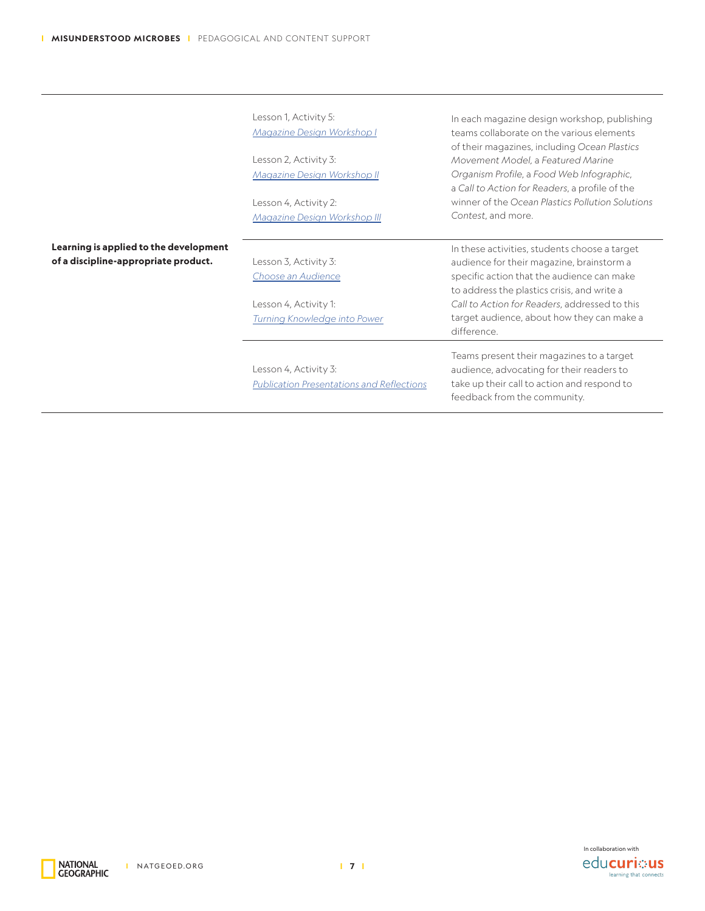|                                                                                | Lesson 1, Activity 5:<br>Magazine Design Workshop I<br>Lesson 2, Activity 3:<br>Magazine Design Workshop II<br>Lesson 4, Activity 2:<br>Magazine Design Workshop III | In each magazine design workshop, publishing<br>teams collaborate on the various elements<br>of their magazines, including Ocean Plastics<br>Movement Model, a Featured Marine<br>Organism Profile, a Food Web Infographic,<br>a Call to Action for Readers, a profile of the<br>winner of the Ocean Plastics Pollution Solutions<br>Contest, and more. |
|--------------------------------------------------------------------------------|----------------------------------------------------------------------------------------------------------------------------------------------------------------------|---------------------------------------------------------------------------------------------------------------------------------------------------------------------------------------------------------------------------------------------------------------------------------------------------------------------------------------------------------|
| Learning is applied to the development<br>of a discipline-appropriate product. | Lesson 3, Activity 3:<br>Choose an Audience<br>Lesson 4, Activity 1:<br>Turning Knowledge into Power                                                                 | In these activities, students choose a target<br>audience for their magazine, brainstorm a<br>specific action that the audience can make<br>to address the plastics crisis, and write a<br>Call to Action for Readers, addressed to this<br>target audience, about how they can make a<br>difference.                                                   |
|                                                                                | Lesson 4, Activity 3:<br><b>Publication Presentations and Reflections</b>                                                                                            | Teams present their magazines to a target<br>audience, advocating for their readers to<br>take up their call to action and respond to<br>feedback from the community.                                                                                                                                                                                   |



National<br>Geographic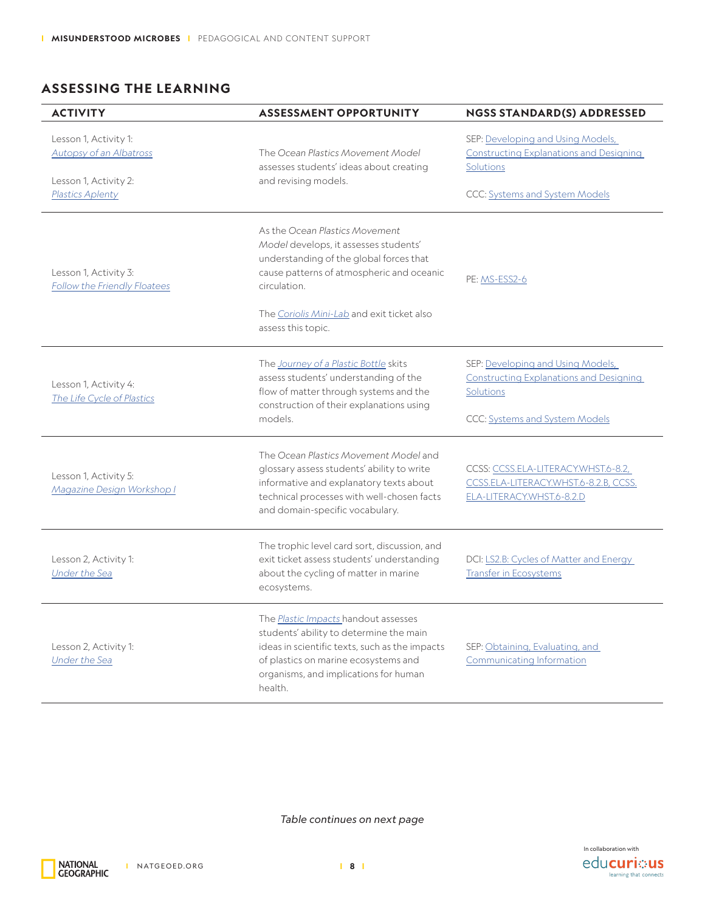# **ASSESSING THE LEARNING**

| <b>ACTIVITY</b>                                                                                      | <b>ASSESSMENT OPPORTUNITY</b>                                                                                                                                                                                                                       | <b>NGSS STANDARD(S) ADDRESSED</b>                                                                                                         |
|------------------------------------------------------------------------------------------------------|-----------------------------------------------------------------------------------------------------------------------------------------------------------------------------------------------------------------------------------------------------|-------------------------------------------------------------------------------------------------------------------------------------------|
| Lesson 1, Activity 1:<br><b>Autopsy of an Albatross</b><br>Lesson 1, Activity 2:<br>Plastics Aplenty | The Ocean Plastics Movement Model<br>assesses students' ideas about creating<br>and revising models.                                                                                                                                                | SEP: Developing and Using Models,<br><b>Constructing Explanations and Designing</b><br><b>Solutions</b><br>CCC: Systems and System Models |
| Lesson 1, Activity 3:<br>Follow the Friendly Floatees                                                | As the Ocean Plastics Movement<br>Model develops, it assesses students'<br>understanding of the global forces that<br>cause patterns of atmospheric and oceanic<br>circulation.<br>The Coriolis Mini-Lab and exit ticket also<br>assess this topic. | PE: MS-ESS2-6                                                                                                                             |
| Lesson 1, Activity 4:<br>The Life Cycle of Plastics                                                  | The Journey of a Plastic Bottle skits<br>assess students' understanding of the<br>flow of matter through systems and the<br>construction of their explanations using<br>models.                                                                     | SEP: Developing and Using Models,<br><b>Constructing Explanations and Designing</b><br>Solutions<br>CCC: Systems and System Models        |
| Lesson 1, Activity 5:<br>Magazine Design Workshop I                                                  | The Ocean Plastics Movement Model and<br>glossary assess students' ability to write<br>informative and explanatory texts about<br>technical processes with well-chosen facts<br>and domain-specific vocabulary.                                     | CCSS: CCSS.ELA-LITERACY.WHST.6-8.2,<br>CCSS.ELA-LITERACY.WHST.6-8.2.B, CCSS.<br>ELA-LITERACY.WHST.6-8.2.D                                 |
| Lesson 2, Activity 1:<br><b>Under the Sea</b>                                                        | The trophic level card sort, discussion, and<br>exit ticket assess students' understanding<br>about the cycling of matter in marine<br>ecosystems.                                                                                                  | DCI: LS2.B: Cycles of Matter and Energy<br><b>Transfer in Ecosystems</b>                                                                  |
| Lesson 2, Activity 1:<br><b>Under the Sea</b>                                                        | The <i>Plastic Impacts</i> handout assesses<br>students' ability to determine the main<br>ideas in scientific texts, such as the impacts<br>of plastics on marine ecosystems and<br>organisms, and implications for human<br>health.                | SEP: Obtaining, Evaluating, and<br>Communicating Information                                                                              |

*Table continues on next page*



NATIONAL<br>GEOGRAPHIC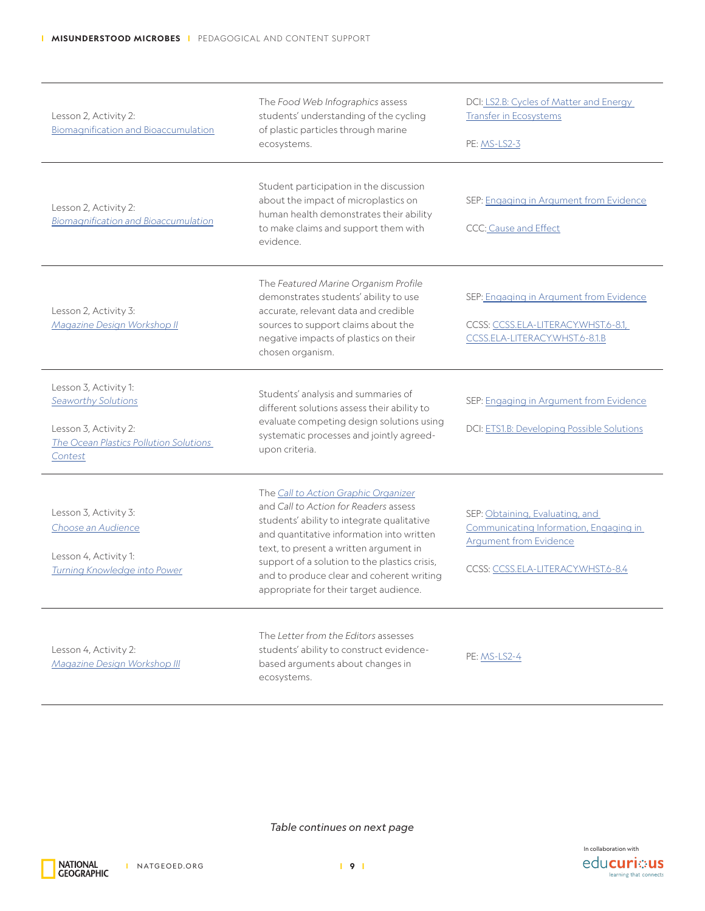| Lesson 2, Activity 2:<br><b>Biomagnification and Bioaccumulation</b>                                                       | The Food Web Infographics assess<br>students' understanding of the cycling<br>of plastic particles through marine<br>ecosystems.                                                                                                                                                                                                                           | DCI: LS2.B: Cycles of Matter and Energy<br><b>Transfer in Ecosystems</b><br>PE: MS-LS2-3                                                         |
|----------------------------------------------------------------------------------------------------------------------------|------------------------------------------------------------------------------------------------------------------------------------------------------------------------------------------------------------------------------------------------------------------------------------------------------------------------------------------------------------|--------------------------------------------------------------------------------------------------------------------------------------------------|
| Lesson 2, Activity 2:<br><b>Biomagnification and Bioaccumulation</b>                                                       | Student participation in the discussion<br>about the impact of microplastics on<br>human health demonstrates their ability<br>to make claims and support them with<br>evidence.                                                                                                                                                                            | SEP: Engaging in Argument from Evidence<br>CCC: Cause and Effect                                                                                 |
| Lesson 2, Activity 3:<br>Magazine Design Workshop II                                                                       | The Featured Marine Organism Profile<br>demonstrates students' ability to use<br>accurate, relevant data and credible<br>sources to support claims about the<br>negative impacts of plastics on their<br>chosen organism.                                                                                                                                  | SEP: Engaging in Argument from Evidence<br>CCSS: CCSS.ELA-LITERACY.WHST.6-8.1,<br>CCSS.ELA-LITERACY.WHST.6-8.1.B                                 |
| Lesson 3, Activity 1:<br>Seaworthy Solutions<br>Lesson 3, Activity 2:<br>The Ocean Plastics Pollution Solutions<br>Contest | Students' analysis and summaries of<br>different solutions assess their ability to<br>evaluate competing design solutions using<br>systematic processes and jointly agreed-<br>upon criteria.                                                                                                                                                              | SEP: Engaging in Argument from Evidence<br>DCI: ETS1.B: Developing Possible Solutions                                                            |
| Lesson 3, Activity 3:<br>Choose an Audience<br>Lesson 4, Activity 1:<br>Turning Knowledge into Power                       | The Call to Action Graphic Organizer<br>and Call to Action for Readers assess<br>students' ability to integrate qualitative<br>and quantitative information into written<br>text, to present a written argument in<br>support of a solution to the plastics crisis,<br>and to produce clear and coherent writing<br>appropriate for their target audience. | SEP: Obtaining, Evaluating, and<br>Communicating Information, Engaging in<br><b>Argument from Evidence</b><br>CCSS: CCSS.ELA-LITERACY.WHST.6-8.4 |
| Lesson 4, Activity 2:<br>Magazine Design Workshop III                                                                      | The Letter from the Editors assesses<br>students' ability to construct evidence-<br>based arguments about changes in<br>ecosystems.                                                                                                                                                                                                                        | PE: MS-LS2-4                                                                                                                                     |

*Table continues on next page*



National<br>Geographic